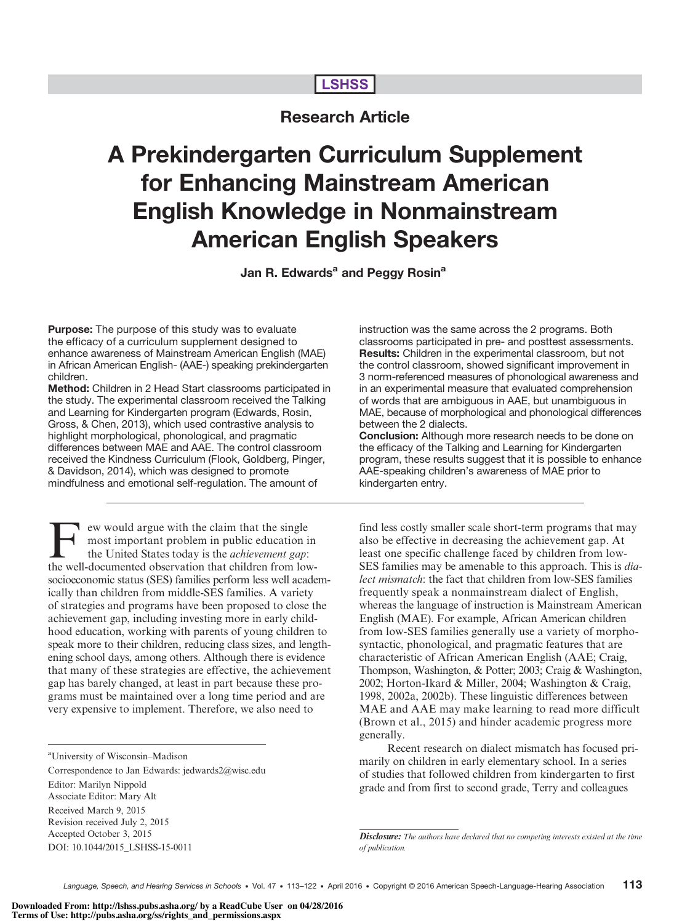# **LSHSS**

# Research Article

# A Prekindergarten Curriculum Supplement for Enhancing Mainstream American English Knowledge in Nonmainstream American English Speakers

Jan R. Edwards<sup>a</sup> and Peggy Rosin<sup>a</sup>

**Purpose:** The purpose of this study was to evaluate the efficacy of a curriculum supplement designed to enhance awareness of Mainstream American English (MAE) in African American English- (AAE-) speaking prekindergarten children.

Method: Children in 2 Head Start classrooms participated in the study. The experimental classroom received the Talking and Learning for Kindergarten program (Edwards, Rosin, Gross, & Chen, 2013), which used contrastive analysis to highlight morphological, phonological, and pragmatic differences between MAE and AAE. The control classroom received the Kindness Curriculum (Flook, Goldberg, Pinger, & Davidson, 2014), which was designed to promote mindfulness and emotional self-regulation. The amount of

ew would argue with the claim that the single most important problem in public education in the United States today is the achievement gap: the well-documented observation that children from lowsocioeconomic status (SES) families perform less well academically than children from middle-SES families. A variety of strategies and programs have been proposed to close the achievement gap, including investing more in early childhood education, working with parents of young children to speak more to their children, reducing class sizes, and lengthening school days, among others. Although there is evidence that many of these strategies are effective, the achievement gap has barely changed, at least in part because these programs must be maintained over a long time period and are very expensive to implement. Therefore, we also need to

Correspondence to Jan Edwards: jedwards2@wisc.edu Editor: Marilyn Nippold Associate Editor: Mary Alt Received March 9, 2015 Revision received July 2, 2015 Accepted October 3, 2015

DOI: 10.1044/2015\_LSHSS-15-0011

instruction was the same across the 2 programs. Both classrooms participated in pre- and posttest assessments. Results: Children in the experimental classroom, but not the control classroom, showed significant improvement in 3 norm-referenced measures of phonological awareness and in an experimental measure that evaluated comprehension of words that are ambiguous in AAE, but unambiguous in MAE, because of morphological and phonological differences between the 2 dialects.

Conclusion: Although more research needs to be done on the efficacy of the Talking and Learning for Kindergarten program, these results suggest that it is possible to enhance AAE-speaking children's awareness of MAE prior to kindergarten entry.

find less costly smaller scale short-term programs that may also be effective in decreasing the achievement gap. At least one specific challenge faced by children from low-SES families may be amenable to this approach. This is dialect mismatch: the fact that children from low-SES families frequently speak a nonmainstream dialect of English, whereas the language of instruction is Mainstream American English (MAE). For example, African American children from low-SES families generally use a variety of morphosyntactic, phonological, and pragmatic features that are characteristic of African American English (AAE; Craig, Thompson, Washington, & Potter; 2003; Craig & Washington, 2002; Horton-Ikard & Miller, 2004; Washington & Craig, 1998, 2002a, 2002b). These linguistic differences between MAE and AAE may make learning to read more difficult (Brown et al., 2015) and hinder academic progress more generally.

Recent research on dialect mismatch has focused primarily on children in early elementary school. In a series of studies that followed children from kindergarten to first grade and from first to second grade, Terry and colleagues

a University of Wisconsin–Madison

**Disclosure:** The authors have declared that no competing interests existed at the time of publication.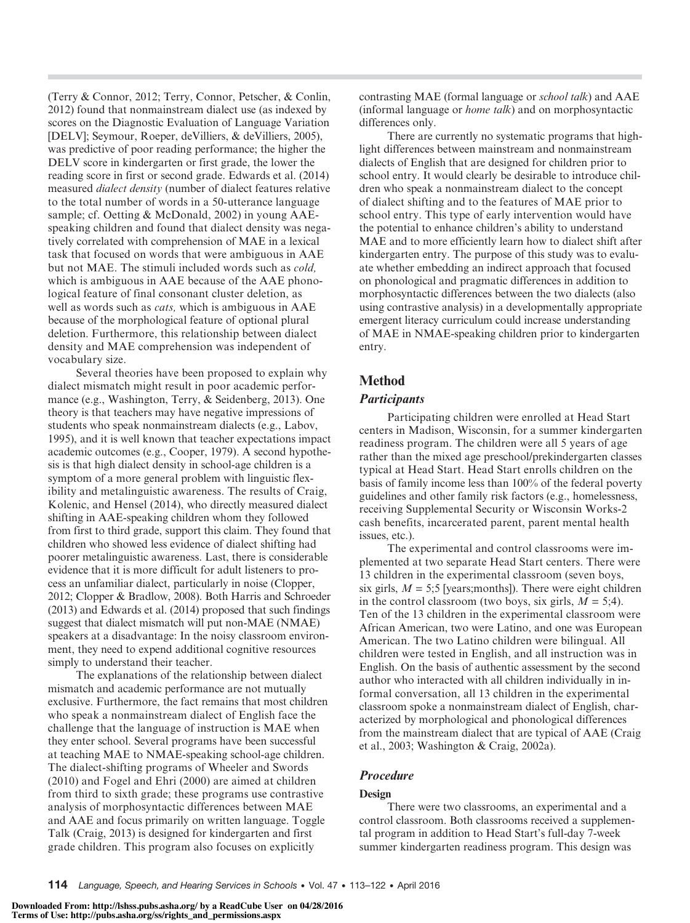(Terry & Connor, 2012; Terry, Connor, Petscher, & Conlin, 2012) found that nonmainstream dialect use (as indexed by scores on the Diagnostic Evaluation of Language Variation [DELV]; Seymour, Roeper, deVilliers, & deVilliers, 2005), was predictive of poor reading performance; the higher the DELV score in kindergarten or first grade, the lower the reading score in first or second grade. Edwards et al. (2014) measured dialect density (number of dialect features relative to the total number of words in a 50-utterance language sample; cf. Oetting & McDonald, 2002) in young AAEspeaking children and found that dialect density was negatively correlated with comprehension of MAE in a lexical task that focused on words that were ambiguous in AAE but not MAE. The stimuli included words such as cold, which is ambiguous in AAE because of the AAE phonological feature of final consonant cluster deletion, as well as words such as *cats*, which is ambiguous in AAE because of the morphological feature of optional plural deletion. Furthermore, this relationship between dialect density and MAE comprehension was independent of vocabulary size.

Several theories have been proposed to explain why dialect mismatch might result in poor academic performance (e.g., Washington, Terry, & Seidenberg, 2013). One theory is that teachers may have negative impressions of students who speak nonmainstream dialects (e.g., Labov, 1995), and it is well known that teacher expectations impact academic outcomes (e.g., Cooper, 1979). A second hypothesis is that high dialect density in school-age children is a symptom of a more general problem with linguistic flexibility and metalinguistic awareness. The results of Craig, Kolenic, and Hensel (2014), who directly measured dialect shifting in AAE-speaking children whom they followed from first to third grade, support this claim. They found that children who showed less evidence of dialect shifting had poorer metalinguistic awareness. Last, there is considerable evidence that it is more difficult for adult listeners to process an unfamiliar dialect, particularly in noise (Clopper, 2012; Clopper & Bradlow, 2008). Both Harris and Schroeder (2013) and Edwards et al. (2014) proposed that such findings suggest that dialect mismatch will put non-MAE (NMAE) speakers at a disadvantage: In the noisy classroom environment, they need to expend additional cognitive resources simply to understand their teacher.

The explanations of the relationship between dialect mismatch and academic performance are not mutually exclusive. Furthermore, the fact remains that most children who speak a nonmainstream dialect of English face the challenge that the language of instruction is MAE when they enter school. Several programs have been successful at teaching MAE to NMAE-speaking school-age children. The dialect-shifting programs of Wheeler and Swords (2010) and Fogel and Ehri (2000) are aimed at children from third to sixth grade; these programs use contrastive analysis of morphosyntactic differences between MAE and AAE and focus primarily on written language. Toggle Talk (Craig, 2013) is designed for kindergarten and first grade children. This program also focuses on explicitly

contrasting MAE (formal language or school talk) and AAE (informal language or home talk) and on morphosyntactic differences only.

There are currently no systematic programs that highlight differences between mainstream and nonmainstream dialects of English that are designed for children prior to school entry. It would clearly be desirable to introduce children who speak a nonmainstream dialect to the concept of dialect shifting and to the features of MAE prior to school entry. This type of early intervention would have the potential to enhance children's ability to understand MAE and to more efficiently learn how to dialect shift after kindergarten entry. The purpose of this study was to evaluate whether embedding an indirect approach that focused on phonological and pragmatic differences in addition to morphosyntactic differences between the two dialects (also using contrastive analysis) in a developmentally appropriate emergent literacy curriculum could increase understanding of MAE in NMAE-speaking children prior to kindergarten entry.

# Method

# **Participants**

Participating children were enrolled at Head Start centers in Madison, Wisconsin, for a summer kindergarten readiness program. The children were all 5 years of age rather than the mixed age preschool/prekindergarten classes typical at Head Start. Head Start enrolls children on the basis of family income less than 100% of the federal poverty guidelines and other family risk factors (e.g., homelessness, receiving Supplemental Security or Wisconsin Works-2 cash benefits, incarcerated parent, parent mental health issues, etc.).

The experimental and control classrooms were implemented at two separate Head Start centers. There were 13 children in the experimental classroom (seven boys, six girls,  $M = 5.5$  [years; months]). There were eight children in the control classroom (two boys, six girls,  $M = 5;4$ ). Ten of the 13 children in the experimental classroom were African American, two were Latino, and one was European American. The two Latino children were bilingual. All children were tested in English, and all instruction was in English. On the basis of authentic assessment by the second author who interacted with all children individually in informal conversation, all 13 children in the experimental classroom spoke a nonmainstream dialect of English, characterized by morphological and phonological differences from the mainstream dialect that are typical of AAE (Craig et al., 2003; Washington & Craig, 2002a).

# Procedure

# Design

There were two classrooms, an experimental and a control classroom. Both classrooms received a supplemental program in addition to Head Start's full-day 7-week summer kindergarten readiness program. This design was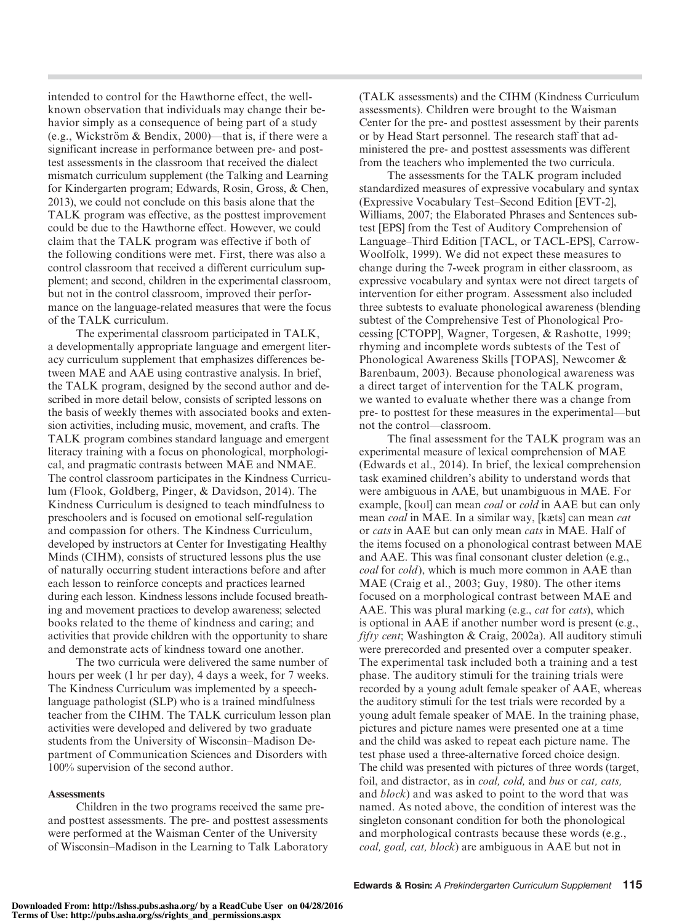intended to control for the Hawthorne effect, the wellknown observation that individuals may change their behavior simply as a consequence of being part of a study (e.g., Wickström & Bendix, 2000)—that is, if there were a significant increase in performance between pre- and posttest assessments in the classroom that received the dialect mismatch curriculum supplement (the Talking and Learning for Kindergarten program; Edwards, Rosin, Gross, & Chen, 2013), we could not conclude on this basis alone that the TALK program was effective, as the posttest improvement could be due to the Hawthorne effect. However, we could claim that the TALK program was effective if both of the following conditions were met. First, there was also a control classroom that received a different curriculum supplement; and second, children in the experimental classroom, but not in the control classroom, improved their performance on the language-related measures that were the focus of the TALK curriculum.

The experimental classroom participated in TALK, a developmentally appropriate language and emergent literacy curriculum supplement that emphasizes differences between MAE and AAE using contrastive analysis. In brief, the TALK program, designed by the second author and described in more detail below, consists of scripted lessons on the basis of weekly themes with associated books and extension activities, including music, movement, and crafts. The TALK program combines standard language and emergent literacy training with a focus on phonological, morphological, and pragmatic contrasts between MAE and NMAE. The control classroom participates in the Kindness Curriculum (Flook, Goldberg, Pinger, & Davidson, 2014). The Kindness Curriculum is designed to teach mindfulness to preschoolers and is focused on emotional self-regulation and compassion for others. The Kindness Curriculum, developed by instructors at Center for Investigating Healthy Minds (CIHM), consists of structured lessons plus the use of naturally occurring student interactions before and after each lesson to reinforce concepts and practices learned during each lesson. Kindness lessons include focused breathing and movement practices to develop awareness; selected books related to the theme of kindness and caring; and activities that provide children with the opportunity to share and demonstrate acts of kindness toward one another.

The two curricula were delivered the same number of hours per week (1 hr per day), 4 days a week, for 7 weeks. The Kindness Curriculum was implemented by a speechlanguage pathologist (SLP) who is a trained mindfulness teacher from the CIHM. The TALK curriculum lesson plan activities were developed and delivered by two graduate students from the University of Wisconsin–Madison Department of Communication Sciences and Disorders with 100% supervision of the second author.

#### **Assessments**

Children in the two programs received the same preand posttest assessments. The pre- and posttest assessments were performed at the Waisman Center of the University of Wisconsin–Madison in the Learning to Talk Laboratory (TALK assessments) and the CIHM (Kindness Curriculum assessments). Children were brought to the Waisman Center for the pre- and posttest assessment by their parents or by Head Start personnel. The research staff that administered the pre- and posttest assessments was different from the teachers who implemented the two curricula.

The assessments for the TALK program included standardized measures of expressive vocabulary and syntax (Expressive Vocabulary Test–Second Edition [EVT-2], Williams, 2007; the Elaborated Phrases and Sentences subtest [EPS] from the Test of Auditory Comprehension of Language–Third Edition [TACL, or TACL-EPS], Carrow-Woolfolk, 1999). We did not expect these measures to change during the 7-week program in either classroom, as expressive vocabulary and syntax were not direct targets of intervention for either program. Assessment also included three subtests to evaluate phonological awareness (blending subtest of the Comprehensive Test of Phonological Processing [CTOPP], Wagner, Torgesen, & Rashotte, 1999; rhyming and incomplete words subtests of the Test of Phonological Awareness Skills [TOPAS], Newcomer & Barenbaum, 2003). Because phonological awareness was a direct target of intervention for the TALK program, we wanted to evaluate whether there was a change from pre- to posttest for these measures in the experimental—but not the control—classroom.

The final assessment for the TALK program was an experimental measure of lexical comprehension of MAE (Edwards et al., 2014). In brief, the lexical comprehension task examined children's ability to understand words that were ambiguous in AAE, but unambiguous in MAE. For example, [koʊl] can mean *coal* or *cold* in AAE but can only mean coal in MAE. In a similar way, [kæts] can mean cat or cats in AAE but can only mean cats in MAE. Half of the items focused on a phonological contrast between MAE and AAE. This was final consonant cluster deletion (e.g., coal for cold), which is much more common in AAE than MAE (Craig et al., 2003; Guy, 1980). The other items focused on a morphological contrast between MAE and AAE. This was plural marking (e.g., *cat* for *cats*), which is optional in AAE if another number word is present (e.g., fifty cent; Washington & Craig, 2002a). All auditory stimuli were prerecorded and presented over a computer speaker. The experimental task included both a training and a test phase. The auditory stimuli for the training trials were recorded by a young adult female speaker of AAE, whereas the auditory stimuli for the test trials were recorded by a young adult female speaker of MAE. In the training phase, pictures and picture names were presented one at a time and the child was asked to repeat each picture name. The test phase used a three-alternative forced choice design. The child was presented with pictures of three words (target, foil, and distractor, as in *coal, cold,* and *bus* or *cat, cats*, and block) and was asked to point to the word that was named. As noted above, the condition of interest was the singleton consonant condition for both the phonological and morphological contrasts because these words (e.g., coal, goal, cat, block) are ambiguous in AAE but not in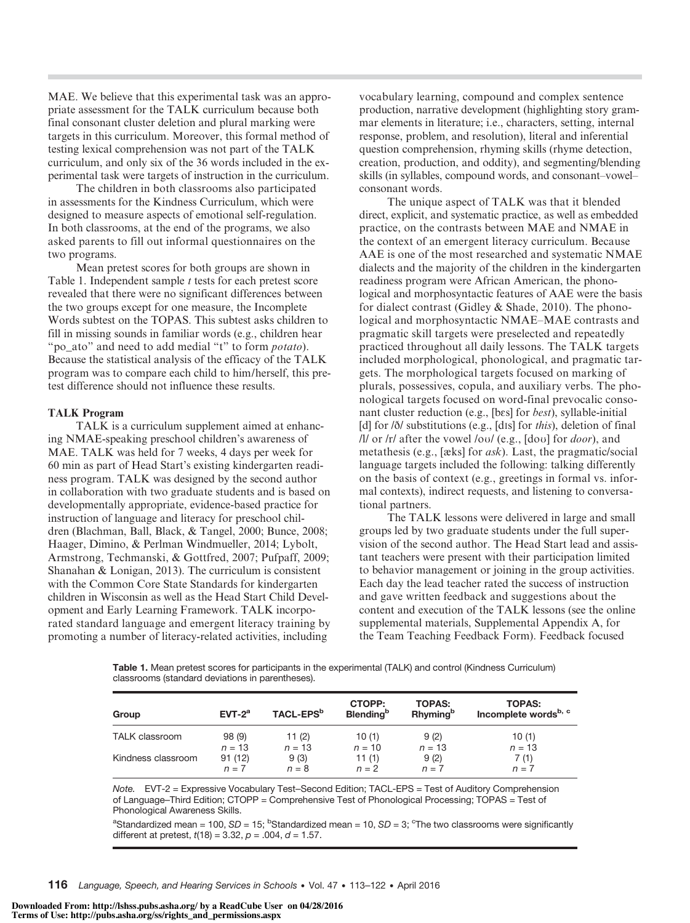MAE. We believe that this experimental task was an appropriate assessment for the TALK curriculum because both final consonant cluster deletion and plural marking were targets in this curriculum. Moreover, this formal method of testing lexical comprehension was not part of the TALK curriculum, and only six of the 36 words included in the experimental task were targets of instruction in the curriculum.

The children in both classrooms also participated in assessments for the Kindness Curriculum, which were designed to measure aspects of emotional self-regulation. In both classrooms, at the end of the programs, we also asked parents to fill out informal questionnaires on the two programs.

Mean pretest scores for both groups are shown in Table 1. Independent sample t tests for each pretest score revealed that there were no significant differences between the two groups except for one measure, the Incomplete Words subtest on the TOPAS. This subtest asks children to fill in missing sounds in familiar words (e.g., children hear "po\_ato" and need to add medial "t" to form potato). Because the statistical analysis of the efficacy of the TALK program was to compare each child to him/herself, this pretest difference should not influence these results.

#### TALK Program

TALK is a curriculum supplement aimed at enhancing NMAE-speaking preschool children's awareness of MAE. TALK was held for 7 weeks, 4 days per week for 60 min as part of Head Start's existing kindergarten readiness program. TALK was designed by the second author in collaboration with two graduate students and is based on developmentally appropriate, evidence-based practice for instruction of language and literacy for preschool children (Blachman, Ball, Black, & Tangel, 2000; Bunce, 2008; Haager, Dimino, & Perlman Windmueller, 2014; Lybolt, Armstrong, Techmanski, & Gottfred, 2007; Pufpaff, 2009; Shanahan & Lonigan, 2013). The curriculum is consistent with the Common Core State Standards for kindergarten children in Wisconsin as well as the Head Start Child Development and Early Learning Framework. TALK incorporated standard language and emergent literacy training by promoting a number of literacy-related activities, including

vocabulary learning, compound and complex sentence production, narrative development (highlighting story grammar elements in literature; i.e., characters, setting, internal response, problem, and resolution), literal and inferential question comprehension, rhyming skills (rhyme detection, creation, production, and oddity), and segmenting/blending skills (in syllables, compound words, and consonant–vowel– consonant words.

The unique aspect of TALK was that it blended direct, explicit, and systematic practice, as well as embedded practice, on the contrasts between MAE and NMAE in the context of an emergent literacy curriculum. Because AAE is one of the most researched and systematic NMAE dialects and the majority of the children in the kindergarten readiness program were African American, the phonological and morphosyntactic features of AAE were the basis for dialect contrast (Gidley & Shade, 2010). The phonological and morphosyntactic NMAE–MAE contrasts and pragmatic skill targets were preselected and repeatedly practiced throughout all daily lessons. The TALK targets included morphological, phonological, and pragmatic targets. The morphological targets focused on marking of plurals, possessives, copula, and auxiliary verbs. The phonological targets focused on word-final prevocalic consonant cluster reduction (e.g., [bɛs] for best), syllable-initial [d] for  $\delta$ / substitutions (e.g., [dɪs] for this), deletion of final  $\frac{1}{\sqrt{2}}$  or  $\frac{1}{\sqrt{2}}$  after the vowel  $\frac{1}{\sqrt{2}}$  (e.g.,  $\frac{1}{\sqrt{2}}$  or  $\frac{1}{\sqrt{2}}$ ), and metathesis (e.g., [æks] for ask). Last, the pragmatic/social language targets included the following: talking differently on the basis of context (e.g., greetings in formal vs. informal contexts), indirect requests, and listening to conversational partners.

The TALK lessons were delivered in large and small groups led by two graduate students under the full supervision of the second author. The Head Start lead and assistant teachers were present with their participation limited to behavior management or joining in the group activities. Each day the lead teacher rated the success of instruction and gave written feedback and suggestions about the content and execution of the TALK lessons (see the online supplemental materials, Supplemental Appendix A, for the Team Teaching Feedback Form). Feedback focused

Table 1. Mean pretest scores for participants in the experimental (TALK) and control (Kindness Curriculum) classrooms (standard deviations in parentheses).

| Group                 | $EVT-2^a$ | TACL-EPS <sup>b</sup> | CTOPP:<br><b>Blending</b> <sup>b</sup> | <b>TOPAS:</b><br><b>Rhyming</b> <sup>b</sup> | <b>TOPAS:</b><br>Incomplete words <sup>b, c</sup> |
|-----------------------|-----------|-----------------------|----------------------------------------|----------------------------------------------|---------------------------------------------------|
| <b>TALK classroom</b> | 98 (9)    | 11 $(2)$              | 10(1)                                  | 9(2)                                         | 10(1)                                             |
|                       | $n = 13$  | $n = 13$              | $n = 10$                               | $n = 13$                                     | $n = 13$                                          |
| Kindness classroom    | 91(12)    | 9(3)                  | 11 $(1)$                               | 9(2)                                         | 7(1)                                              |
|                       | $n = 7$   | $n = 8$               | $n = 2$                                | $n = 7$                                      | $n = 7$                                           |

Note. EVT-2 = Expressive Vocabulary Test–Second Edition; TACL-EPS = Test of Auditory Comprehension of Language–Third Edition; CTOPP = Comprehensive Test of Phonological Processing; TOPAS = Test of Phonological Awareness Skills.

<sup>a</sup>Standardized mean = 100, SD = 15; <sup>b</sup>Standardized mean = 10, SD = 3; <sup>c</sup>The two classrooms were significantly different at pretest,  $t(18) = 3.32, p = .004, d = 1.57$ .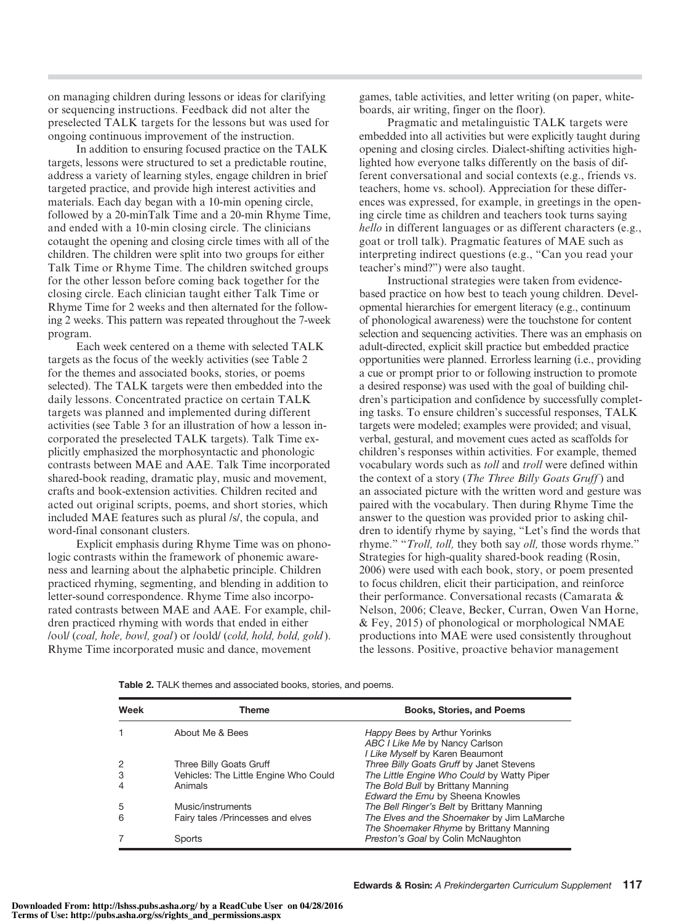on managing children during lessons or ideas for clarifying or sequencing instructions. Feedback did not alter the preselected TALK targets for the lessons but was used for ongoing continuous improvement of the instruction.

In addition to ensuring focused practice on the TALK targets, lessons were structured to set a predictable routine, address a variety of learning styles, engage children in brief targeted practice, and provide high interest activities and materials. Each day began with a 10-min opening circle, followed by a 20-minTalk Time and a 20-min Rhyme Time, and ended with a 10-min closing circle. The clinicians cotaught the opening and closing circle times with all of the children. The children were split into two groups for either Talk Time or Rhyme Time. The children switched groups for the other lesson before coming back together for the closing circle. Each clinician taught either Talk Time or Rhyme Time for 2 weeks and then alternated for the following 2 weeks. This pattern was repeated throughout the 7-week program.

Each week centered on a theme with selected TALK targets as the focus of the weekly activities (see Table 2 for the themes and associated books, stories, or poems selected). The TALK targets were then embedded into the daily lessons. Concentrated practice on certain TALK targets was planned and implemented during different activities (see Table 3 for an illustration of how a lesson incorporated the preselected TALK targets). Talk Time explicitly emphasized the morphosyntactic and phonologic contrasts between MAE and AAE. Talk Time incorporated shared-book reading, dramatic play, music and movement, crafts and book-extension activities. Children recited and acted out original scripts, poems, and short stories, which included MAE features such as plural /s/, the copula, and word-final consonant clusters.

Explicit emphasis during Rhyme Time was on phonologic contrasts within the framework of phonemic awareness and learning about the alphabetic principle. Children practiced rhyming, segmenting, and blending in addition to letter-sound correspondence. Rhyme Time also incorporated contrasts between MAE and AAE. For example, children practiced rhyming with words that ended in either /oʊl/ (coal, hole, bowl, goal) or /oʊld/ (cold, hold, bold, gold ). Rhyme Time incorporated music and dance, movement

games, table activities, and letter writing (on paper, whiteboards, air writing, finger on the floor).

Pragmatic and metalinguistic TALK targets were embedded into all activities but were explicitly taught during opening and closing circles. Dialect-shifting activities highlighted how everyone talks differently on the basis of different conversational and social contexts (e.g., friends vs. teachers, home vs. school). Appreciation for these differences was expressed, for example, in greetings in the opening circle time as children and teachers took turns saying hello in different languages or as different characters (e.g., goat or troll talk). Pragmatic features of MAE such as interpreting indirect questions (e.g., "Can you read your teacher's mind?") were also taught.

Instructional strategies were taken from evidencebased practice on how best to teach young children. Developmental hierarchies for emergent literacy (e.g., continuum of phonological awareness) were the touchstone for content selection and sequencing activities. There was an emphasis on adult-directed, explicit skill practice but embedded practice opportunities were planned. Errorless learning (i.e., providing a cue or prompt prior to or following instruction to promote a desired response) was used with the goal of building children's participation and confidence by successfully completing tasks. To ensure children's successful responses, TALK targets were modeled; examples were provided; and visual, verbal, gestural, and movement cues acted as scaffolds for children's responses within activities. For example, themed vocabulary words such as toll and troll were defined within the context of a story (The Three Billy Goats Gruff) and an associated picture with the written word and gesture was paired with the vocabulary. Then during Rhyme Time the answer to the question was provided prior to asking children to identify rhyme by saying, "Let's find the words that rhyme." "Troll, toll, they both say oll, those words rhyme." Strategies for high-quality shared-book reading (Rosin, 2006) were used with each book, story, or poem presented to focus children, elicit their participation, and reinforce their performance. Conversational recasts (Camarata & Nelson, 2006; Cleave, Becker, Curran, Owen Van Horne, & Fey, 2015) of phonological or morphological NMAE productions into MAE were used consistently throughout the lessons. Positive, proactive behavior management

| Week | Theme                                 | <b>Books, Stories, and Poems</b>                                                                  |
|------|---------------------------------------|---------------------------------------------------------------------------------------------------|
|      | About Me & Bees                       | Happy Bees by Arthur Yorinks<br>ABC I Like Me by Nancy Carlson<br>I Like Myself by Karen Beaumont |
| 2    | Three Billy Goats Gruff               | Three Billy Goats Gruff by Janet Stevens                                                          |
| 3    | Vehicles: The Little Engine Who Could | The Little Engine Who Could by Watty Piper                                                        |
| 4    | Animals                               | The Bold Bull by Brittany Manning                                                                 |
|      |                                       | Edward the Emu by Sheena Knowles                                                                  |
| 5    | Music/instruments                     | The Bell Ringer's Belt by Brittany Manning                                                        |
| 6    | Fairy tales / Princesses and elves    | The Elves and the Shoemaker by Jim LaMarche<br>The Shoemaker Rhyme by Brittany Manning            |
|      | Sports                                | Preston's Goal by Colin McNaughton                                                                |

Table 2. TALK themes and associated books, stories, and poems.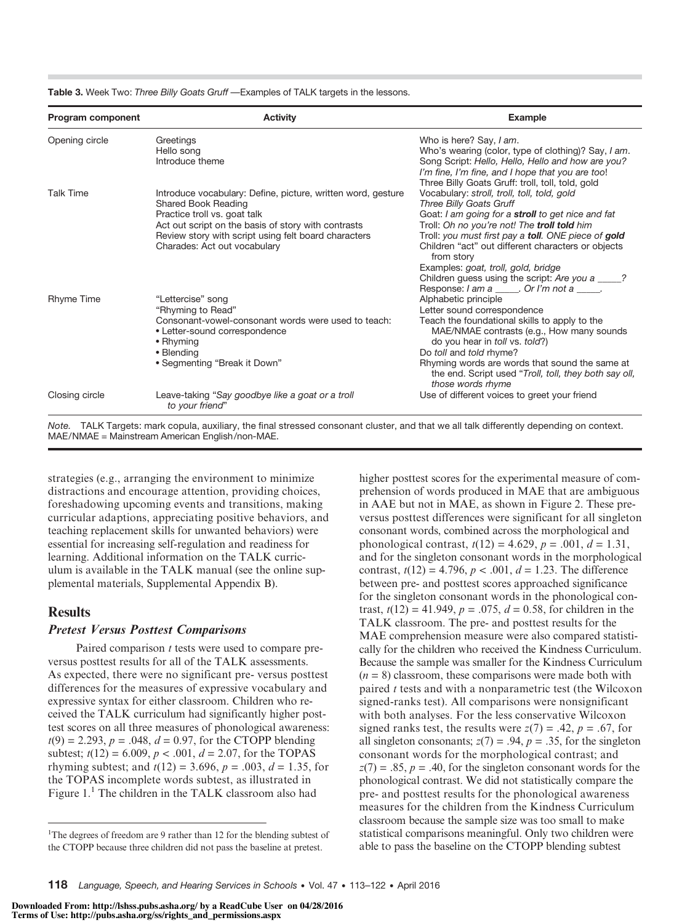Table 3. Week Two: Three Billy Goats Gruff - Examples of TALK targets in the lessons.

| Program component | <b>Activity</b>                                                                                                                                                                                                                                                    | <b>Example</b>                                                                                                                                                                                                                                                                                                                                                                                                                                  |
|-------------------|--------------------------------------------------------------------------------------------------------------------------------------------------------------------------------------------------------------------------------------------------------------------|-------------------------------------------------------------------------------------------------------------------------------------------------------------------------------------------------------------------------------------------------------------------------------------------------------------------------------------------------------------------------------------------------------------------------------------------------|
| Opening circle    | Greetings<br>Hello song<br>Introduce theme                                                                                                                                                                                                                         | Who is here? Say, I am.<br>Who's wearing (color, type of clothing)? Say, I am.<br>Song Script: Hello, Hello, Hello and how are you?<br>I'm fine, I'm fine, and I hope that you are too!<br>Three Billy Goats Gruff: troll, toll, told, gold                                                                                                                                                                                                     |
| <b>Talk Time</b>  | Introduce vocabulary: Define, picture, written word, gesture<br>Shared Book Reading<br>Practice troll vs. goat talk<br>Act out script on the basis of story with contrasts<br>Review story with script using felt board characters<br>Charades: Act out vocabulary | Vocabulary: stroll, troll, toll, told, gold<br>Three Billy Goats Gruff<br>Goat: I am going for a stroll to get nice and fat<br>Troll: Oh no you're not! The troll told him<br>Troll: you must first pay a toll. ONE piece of gold<br>Children "act" out different characters or objects<br>from story<br>Examples: goat, troll, gold, bridge<br>Children guess using the script: Are you a ____?<br>Response: I am a _____. Or I'm not a _____. |
| Rhyme Time        | "Lettercise" song<br>"Rhyming to Read"<br>Consonant-vowel-consonant words were used to teach:<br>• Letter-sound correspondence<br>• Rhyming<br>• Blending<br>• Segmenting "Break it Down"                                                                          | Alphabetic principle<br>Letter sound correspondence<br>Teach the foundational skills to apply to the<br>MAE/NMAE contrasts (e.g., How many sounds<br>do you hear in toll vs. told?)<br>Do toll and told rhyme?<br>Rhyming words are words that sound the same at<br>the end. Script used "Troll, toll, they both say oll,<br>those words rhyme                                                                                                  |
| Closing circle    | Leave-taking "Say goodbye like a goat or a troll<br>to your friend"                                                                                                                                                                                                | Use of different voices to greet your friend                                                                                                                                                                                                                                                                                                                                                                                                    |

Note. TALK Targets: mark copula, auxiliary, the final stressed consonant cluster, and that we all talk differently depending on context. MAE/NMAE = Mainstream American English /non-MAE.

strategies (e.g., arranging the environment to minimize distractions and encourage attention, providing choices, foreshadowing upcoming events and transitions, making curricular adaptions, appreciating positive behaviors, and teaching replacement skills for unwanted behaviors) were essential for increasing self-regulation and readiness for learning. Additional information on the TALK curriculum is available in the TALK manual (see the online supplemental materials, Supplemental Appendix B).

# **Results**

# Pretest Versus Posttest Comparisons

Paired comparison *t* tests were used to compare preversus posttest results for all of the TALK assessments. As expected, there were no significant pre- versus posttest differences for the measures of expressive vocabulary and expressive syntax for either classroom. Children who received the TALK curriculum had significantly higher posttest scores on all three measures of phonological awareness:  $t(9) = 2.293$ ,  $p = .048$ ,  $d = 0.97$ , for the CTOPP blending subtest;  $t(12) = 6.009$ ,  $p < .001$ ,  $d = 2.07$ , for the TOPAS rhyming subtest; and  $t(12) = 3.696$ ,  $p = .003$ ,  $d = 1.35$ , for the TOPAS incomplete words subtest, as illustrated in Figure  $1<sup>1</sup>$ . The children in the TALK classroom also had

higher posttest scores for the experimental measure of comprehension of words produced in MAE that are ambiguous in AAE but not in MAE, as shown in Figure 2. These preversus posttest differences were significant for all singleton consonant words, combined across the morphological and phonological contrast,  $t(12) = 4.629$ ,  $p = .001$ ,  $d = 1.31$ , and for the singleton consonant words in the morphological contrast,  $t(12) = 4.796$ ,  $p < .001$ ,  $d = 1.23$ . The difference between pre- and posttest scores approached significance for the singleton consonant words in the phonological contrast,  $t(12) = 41.949$ ,  $p = .075$ ,  $d = 0.58$ , for children in the TALK classroom. The pre- and posttest results for the MAE comprehension measure were also compared statistically for the children who received the Kindness Curriculum. Because the sample was smaller for the Kindness Curriculum  $(n = 8)$  classroom, these comparisons were made both with paired t tests and with a nonparametric test (the Wilcoxon signed-ranks test). All comparisons were nonsignificant with both analyses. For the less conservative Wilcoxon signed ranks test, the results were  $z(7) = .42$ ,  $p = .67$ , for all singleton consonants;  $z(7) = .94$ ,  $p = .35$ , for the singleton consonant words for the morphological contrast; and  $z(7) = .85$ ,  $p = .40$ , for the singleton consonant words for the phonological contrast. We did not statistically compare the pre- and posttest results for the phonological awareness measures for the children from the Kindness Curriculum classroom because the sample size was too small to make statistical comparisons meaningful. Only two children were able to pass the baseline on the CTOPP blending subtest

118 Language, Speech, and Hearing Services in Schools • Vol. 47 • 113–122 • April 2016

**Downloaded From: http://lshss.pubs.asha.org/ by a ReadCube User on 04/28/2016 Terms of Use: http://pubs.asha.org/ss/rights\_and\_permissions.aspx**

<sup>&</sup>lt;sup>1</sup>The degrees of freedom are 9 rather than 12 for the blending subtest of the CTOPP because three children did not pass the baseline at pretest.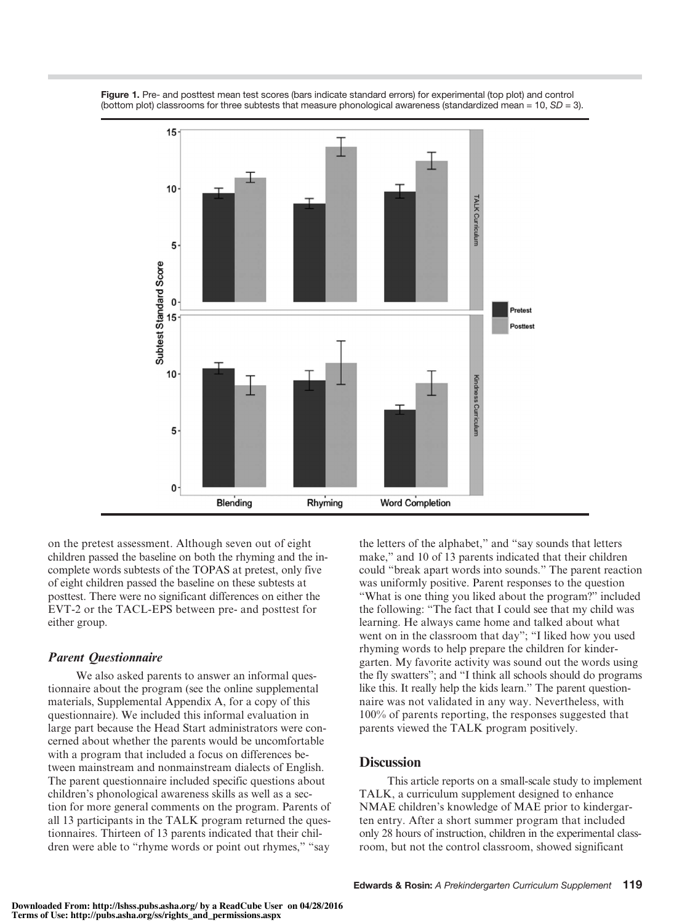

Figure 1. Pre- and posttest mean test scores (bars indicate standard errors) for experimental (top plot) and control (bottom plot) classrooms for three subtests that measure phonological awareness (standardized mean = 10,  $SD = 3$ ).

on the pretest assessment. Although seven out of eight children passed the baseline on both the rhyming and the incomplete words subtests of the TOPAS at pretest, only five of eight children passed the baseline on these subtests at posttest. There were no significant differences on either the EVT-2 or the TACL-EPS between pre- and posttest for either group.

# Parent Questionnaire

We also asked parents to answer an informal questionnaire about the program (see the online supplemental materials, Supplemental Appendix A, for a copy of this questionnaire). We included this informal evaluation in large part because the Head Start administrators were concerned about whether the parents would be uncomfortable with a program that included a focus on differences between mainstream and nonmainstream dialects of English. The parent questionnaire included specific questions about children's phonological awareness skills as well as a section for more general comments on the program. Parents of all 13 participants in the TALK program returned the questionnaires. Thirteen of 13 parents indicated that their children were able to "rhyme words or point out rhymes," "say

the letters of the alphabet," and "say sounds that letters make," and 10 of 13 parents indicated that their children could "break apart words into sounds." The parent reaction was uniformly positive. Parent responses to the question "What is one thing you liked about the program?" included the following: "The fact that I could see that my child was learning. He always came home and talked about what went on in the classroom that day"; "I liked how you used rhyming words to help prepare the children for kindergarten. My favorite activity was sound out the words using the fly swatters"; and "I think all schools should do programs like this. It really help the kids learn." The parent questionnaire was not validated in any way. Nevertheless, with 100% of parents reporting, the responses suggested that parents viewed the TALK program positively.

# **Discussion**

This article reports on a small-scale study to implement TALK, a curriculum supplement designed to enhance NMAE children's knowledge of MAE prior to kindergarten entry. After a short summer program that included only 28 hours of instruction, children in the experimental classroom, but not the control classroom, showed significant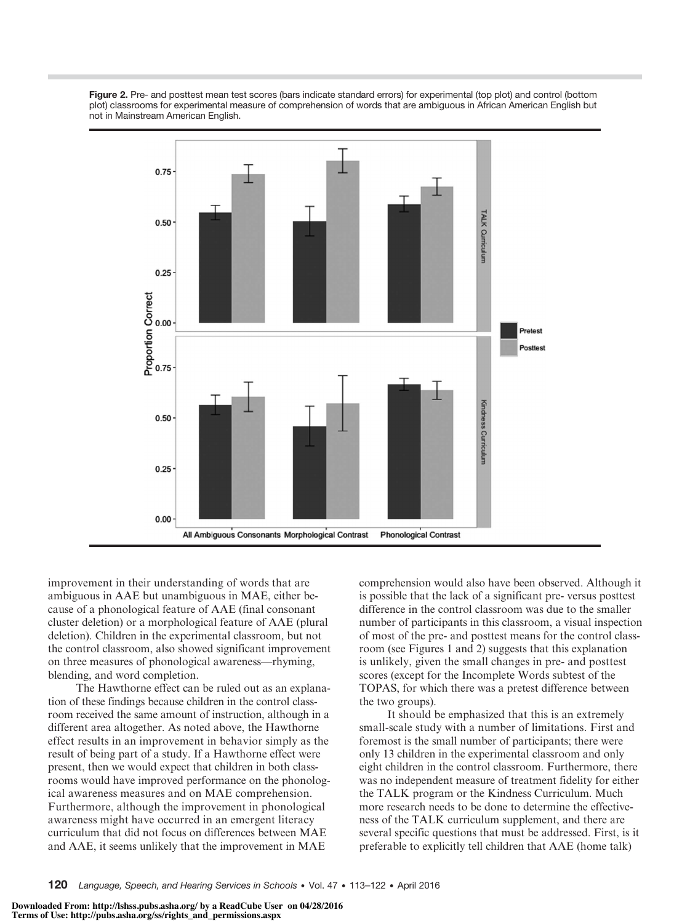

Figure 2. Pre- and posttest mean test scores (bars indicate standard errors) for experimental (top plot) and control (bottom plot) classrooms for experimental measure of comprehension of words that are ambiguous in African American English but not in Mainstream American English.

improvement in their understanding of words that are ambiguous in AAE but unambiguous in MAE, either because of a phonological feature of AAE (final consonant cluster deletion) or a morphological feature of AAE (plural deletion). Children in the experimental classroom, but not the control classroom, also showed significant improvement on three measures of phonological awareness—rhyming, blending, and word completion.

The Hawthorne effect can be ruled out as an explanation of these findings because children in the control classroom received the same amount of instruction, although in a different area altogether. As noted above, the Hawthorne effect results in an improvement in behavior simply as the result of being part of a study. If a Hawthorne effect were present, then we would expect that children in both classrooms would have improved performance on the phonological awareness measures and on MAE comprehension. Furthermore, although the improvement in phonological awareness might have occurred in an emergent literacy curriculum that did not focus on differences between MAE and AAE, it seems unlikely that the improvement in MAE

comprehension would also have been observed. Although it is possible that the lack of a significant pre- versus posttest difference in the control classroom was due to the smaller number of participants in this classroom, a visual inspection of most of the pre- and posttest means for the control classroom (see Figures 1 and 2) suggests that this explanation is unlikely, given the small changes in pre- and posttest scores (except for the Incomplete Words subtest of the TOPAS, for which there was a pretest difference between the two groups).

It should be emphasized that this is an extremely small-scale study with a number of limitations. First and foremost is the small number of participants; there were only 13 children in the experimental classroom and only eight children in the control classroom. Furthermore, there was no independent measure of treatment fidelity for either the TALK program or the Kindness Curriculum. Much more research needs to be done to determine the effectiveness of the TALK curriculum supplement, and there are several specific questions that must be addressed. First, is it preferable to explicitly tell children that AAE (home talk)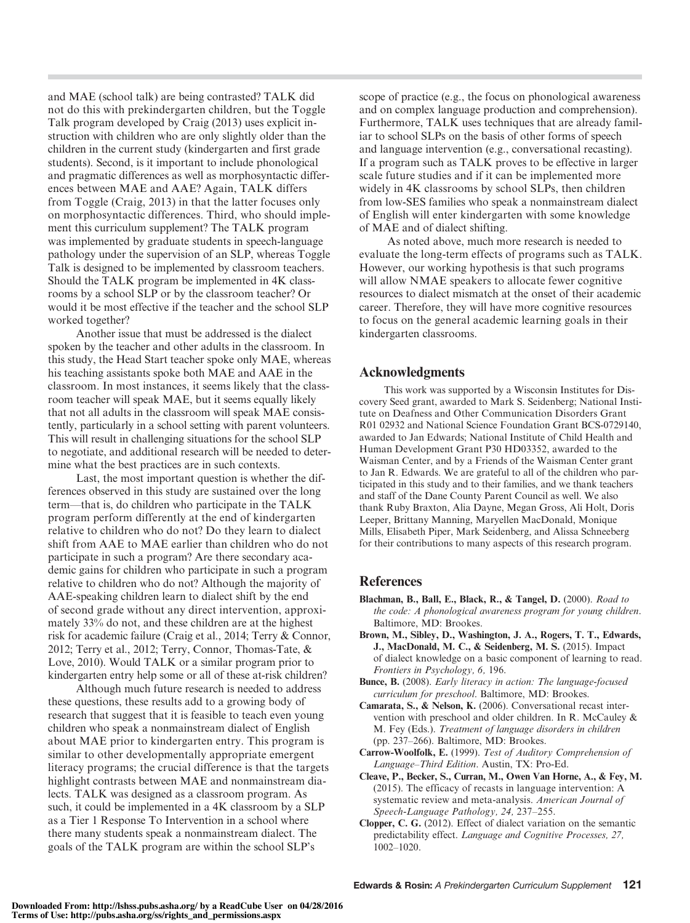and MAE (school talk) are being contrasted? TALK did not do this with prekindergarten children, but the Toggle Talk program developed by Craig (2013) uses explicit instruction with children who are only slightly older than the children in the current study (kindergarten and first grade students). Second, is it important to include phonological and pragmatic differences as well as morphosyntactic differences between MAE and AAE? Again, TALK differs from Toggle (Craig, 2013) in that the latter focuses only on morphosyntactic differences. Third, who should implement this curriculum supplement? The TALK program was implemented by graduate students in speech-language pathology under the supervision of an SLP, whereas Toggle Talk is designed to be implemented by classroom teachers. Should the TALK program be implemented in 4K classrooms by a school SLP or by the classroom teacher? Or would it be most effective if the teacher and the school SLP worked together?

Another issue that must be addressed is the dialect spoken by the teacher and other adults in the classroom. In this study, the Head Start teacher spoke only MAE, whereas his teaching assistants spoke both MAE and AAE in the classroom. In most instances, it seems likely that the classroom teacher will speak MAE, but it seems equally likely that not all adults in the classroom will speak MAE consistently, particularly in a school setting with parent volunteers. This will result in challenging situations for the school SLP to negotiate, and additional research will be needed to determine what the best practices are in such contexts.

Last, the most important question is whether the differences observed in this study are sustained over the long term—that is, do children who participate in the TALK program perform differently at the end of kindergarten relative to children who do not? Do they learn to dialect shift from AAE to MAE earlier than children who do not participate in such a program? Are there secondary academic gains for children who participate in such a program relative to children who do not? Although the majority of AAE-speaking children learn to dialect shift by the end of second grade without any direct intervention, approximately 33% do not, and these children are at the highest risk for academic failure (Craig et al., 2014; Terry & Connor, 2012; Terry et al., 2012; Terry, Connor, Thomas-Tate, & Love, 2010). Would TALK or a similar program prior to kindergarten entry help some or all of these at-risk children?

Although much future research is needed to address these questions, these results add to a growing body of research that suggest that it is feasible to teach even young children who speak a nonmainstream dialect of English about MAE prior to kindergarten entry. This program is similar to other developmentally appropriate emergent literacy programs; the crucial difference is that the targets highlight contrasts between MAE and nonmainstream dialects. TALK was designed as a classroom program. As such, it could be implemented in a 4K classroom by a SLP as a Tier 1 Response To Intervention in a school where there many students speak a nonmainstream dialect. The goals of the TALK program are within the school SLP's

scope of practice (e.g., the focus on phonological awareness and on complex language production and comprehension). Furthermore, TALK uses techniques that are already familiar to school SLPs on the basis of other forms of speech and language intervention (e.g., conversational recasting). If a program such as TALK proves to be effective in larger scale future studies and if it can be implemented more widely in 4K classrooms by school SLPs, then children from low-SES families who speak a nonmainstream dialect of English will enter kindergarten with some knowledge of MAE and of dialect shifting.

As noted above, much more research is needed to evaluate the long-term effects of programs such as TALK. However, our working hypothesis is that such programs will allow NMAE speakers to allocate fewer cognitive resources to dialect mismatch at the onset of their academic career. Therefore, they will have more cognitive resources to focus on the general academic learning goals in their kindergarten classrooms.

# Acknowledgments

This work was supported by a Wisconsin Institutes for Discovery Seed grant, awarded to Mark S. Seidenberg; National Institute on Deafness and Other Communication Disorders Grant R01 02932 and National Science Foundation Grant BCS-0729140, awarded to Jan Edwards; National Institute of Child Health and Human Development Grant P30 HD03352, awarded to the Waisman Center, and by a Friends of the Waisman Center grant to Jan R. Edwards. We are grateful to all of the children who participated in this study and to their families, and we thank teachers and staff of the Dane County Parent Council as well. We also thank Ruby Braxton, Alia Dayne, Megan Gross, Ali Holt, Doris Leeper, Brittany Manning, Maryellen MacDonald, Monique Mills, Elisabeth Piper, Mark Seidenberg, and Alissa Schneeberg for their contributions to many aspects of this research program.

# **References**

- Blachman, B., Ball, E., Black, R., & Tangel, D. (2000). Road to the code: A phonological awareness program for young children. Baltimore, MD: Brookes.
- Brown, M., Sibley, D., Washington, J. A., Rogers, T. T., Edwards, J., MacDonald, M. C., & Seidenberg, M. S. (2015). Impact of dialect knowledge on a basic component of learning to read. Frontiers in Psychology, 6, 196.
- Bunce, B. (2008). Early literacy in action: The language-focused curriculum for preschool. Baltimore, MD: Brookes.
- Camarata, S., & Nelson, K. (2006). Conversational recast intervention with preschool and older children. In R. McCauley & M. Fey (Eds.). Treatment of language disorders in children (pp. 237–266). Baltimore, MD: Brookes.
- Carrow-Woolfolk, E. (1999). Test of Auditory Comprehension of Language–Third Edition. Austin, TX: Pro-Ed.
- Cleave, P., Becker, S., Curran, M., Owen Van Horne, A., & Fey, M. (2015). The efficacy of recasts in language intervention: A systematic review and meta-analysis. American Journal of Speech-Language Pathology, 24, 237–255.
- Clopper, C. G. (2012). Effect of dialect variation on the semantic predictability effect. Language and Cognitive Processes, 27, 1002–1020.